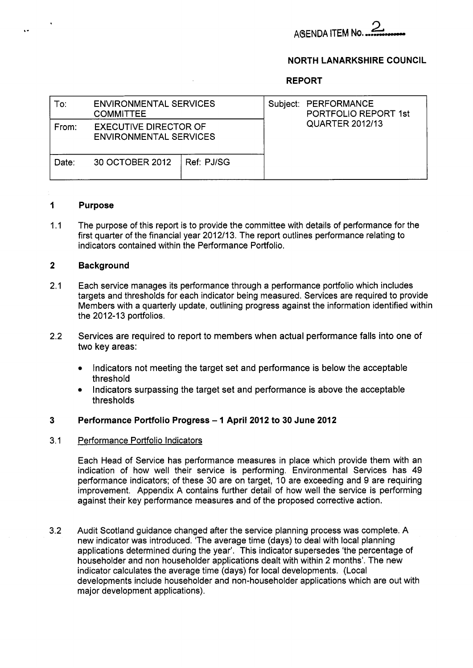

### **NORTH LANARKSHIRE COUNCIL**

### **REPORT**

| To:   | <b>ENVIRONMENTAL SERVICES</b><br><b>COMMITTEE</b>             |            | Subject: PERFORMANCE<br>PORTFOLIO REPORT 1st |  |  |
|-------|---------------------------------------------------------------|------------|----------------------------------------------|--|--|
| From: | <b>EXECUTIVE DIRECTOR OF</b><br><b>ENVIRONMENTAL SERVICES</b> |            | <b>QUARTER 2012/13</b>                       |  |  |
| Date: | 30 OCTOBER 2012                                               | Ref: PJ/SG |                                              |  |  |

#### **1 Purpose**

,

..

1.1 The purpose of this report is to provide the committee with details of performance for the first quarter of the financial year 2012113. The report outlines performance relating to indicators contained within the Performance Portfolio.

#### **2 Background**

- 2.1 Each service manages its performance through a performance portfolio which includes targets and thresholds for each indicator being measured. Services are required to provide Members with a quarterly update, outlining progress against the information identified within the 2012-13 portfolios.
- 2.2 Services are required to report to members when actual performance falls into one of two key areas:
	- Indicators not meeting the target set and performance is below the acceptable threshold
	- Indicators surpassing the target set and performance is above the acceptable thresholds

#### **3 Performance Portfolio Progress** - **1 April 2012 to 30 June 2012**

#### 3.1 Performance Portfolio Indicators

Each Head of Service has performance measures in place which provide them with an indication of how well their service is performing. Environmental Services has 49 performance indicators; of these 30 are on target, 10 are exceeding and 9 are requiring improvement. Appendix A contains further detail of how well the service is performing against their key performance measures and of the proposed corrective action.

3.2 Audit Scotland guidance changed after the service planning process was complete. A new indicator was introduced. 'The average time (days) to deal with local planning applications determined during the year'. This indicator supersedes 'the percentage of householder and non householder applications dealt with within 2 months'. The new indicator calculates the average time (days) for local developments. (Local developments include householder and non-householder applications which are out with major development applications).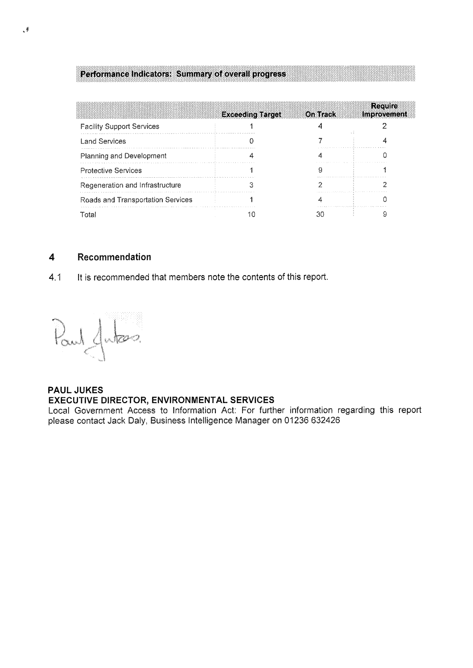## **Performance indicators: Summary of overall progress**

|                                   | <b>Exceeding Target</b> | <b>On Track</b> | <b>Require</b><br>Improvement |
|-----------------------------------|-------------------------|-----------------|-------------------------------|
| <b>Facility Support Services</b>  |                         |                 |                               |
| <b>Land Services</b>              |                         |                 |                               |
| Planning and Development          |                         |                 |                               |
| <b>Protective Services</b>        |                         |                 |                               |
| Regeneration and Infrastructure   |                         |                 |                               |
| Roads and Transportation Services |                         |                 |                               |
| Total                             |                         |                 |                               |

#### **4**  Recommendation

4.1 It is recommended that members note the contents of this report.

Paul Jules.

## **PAUL JUKES EXECUTIVE DIRECTOR, ENVIRONMENTAL SERVICES**

Local Government Access to Information Act: For further information regarding this report please contact Jack Daly, Business Intelligence Manager on 01236 632426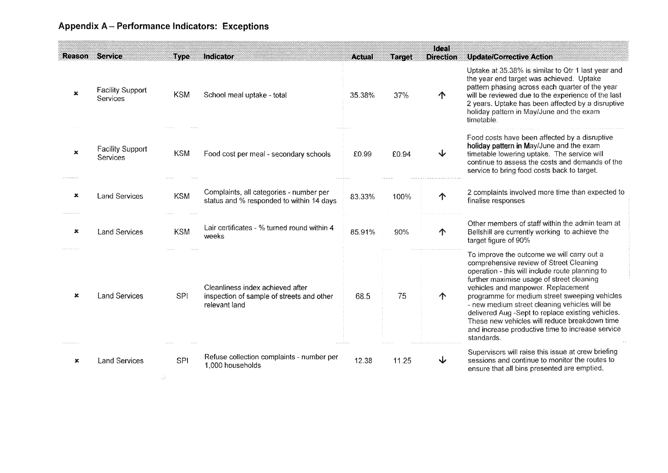# Appendix A - Performance Indicators: Exceptions

|                |                                            |            |                                                                                                |               |               | Ideal            |                                                                                                                                                                                                                                                                                                                                                                                                                                                                                                       |
|----------------|--------------------------------------------|------------|------------------------------------------------------------------------------------------------|---------------|---------------|------------------|-------------------------------------------------------------------------------------------------------------------------------------------------------------------------------------------------------------------------------------------------------------------------------------------------------------------------------------------------------------------------------------------------------------------------------------------------------------------------------------------------------|
| Reason         | Service                                    | Type       | Indicator                                                                                      | <b>Actual</b> | <b>Target</b> | <b>Direction</b> | <b>Update/Corrective Action</b>                                                                                                                                                                                                                                                                                                                                                                                                                                                                       |
| $\pmb{\times}$ | <b>Facility Support</b><br><b>Services</b> | <b>KSM</b> | School meal uptake - total                                                                     | 35.38%        | 37%           | ↑                | Uptake at 35.38% is similar to Qtr 1 last year and<br>the year end target was achieved. Uptake<br>pattern phasing across each quarter of the year<br>will be reviewed due to the experience of the last<br>2 years. Uptake has been affected by a disruptive<br>holiday pattern in May/June and the exam<br>timetable.                                                                                                                                                                                |
| ×              | <b>Facility Support</b><br><b>Services</b> | <b>KSM</b> | Food cost per meal - secondary schools                                                         | £0.99         | £0.94         | ↓                | Food costs have been affected by a disruptive<br>holiday pattern in May/June and the exam<br>timetable lowering uptake. The service will<br>continue to assess the costs and demands of the<br>service to bring food costs back to target.                                                                                                                                                                                                                                                            |
| ×              | <b>Land Services</b>                       | <b>KSM</b> | Complaints, all categories - number per<br>status and % responded to within 14 days            | 83.33%        | 100%          | ↑                | 2 complaints involved more time than expected to<br>finalise responses                                                                                                                                                                                                                                                                                                                                                                                                                                |
| ×              | <b>Land Services</b>                       | <b>KSM</b> | Lair certificates - % turned round within 4<br>weeks                                           | 85.91%        | 90%           | ↑                | Other members of staff within the admin team at<br>Bellshill are currently working to achieve the<br>target figure of 90%                                                                                                                                                                                                                                                                                                                                                                             |
| ×              | <b>Land Services</b>                       | <b>SPI</b> | Cleanliness index achieved after<br>inspection of sample of streets and other<br>relevant land | 68.5          | 75            | ↑                | To improve the outcome we will carry out a<br>comprehensive review of Street Cleaning<br>operation - this will include route planning to<br>further maximise usage of street cleaning<br>vehicles and manpower. Replacement<br>programme for medium street sweeping vehicles<br>- new medium street cleaning vehicles will be<br>delivered Aug -Sept to replace existing vehicles.<br>These new vehicles will reduce breakdown time<br>and increase productive time to increase service<br>standards. |
| $\mathbf x$    | <b>Land Services</b>                       | SPI        | Refuse collection complaints - number per<br>1,000 households                                  | 12.38         | 11.25         | ↓                | Supervisors will raise this issue at crew briefing<br>sessions and continue to monitor the routes to<br>ensure that all bins presented are emptied.                                                                                                                                                                                                                                                                                                                                                   |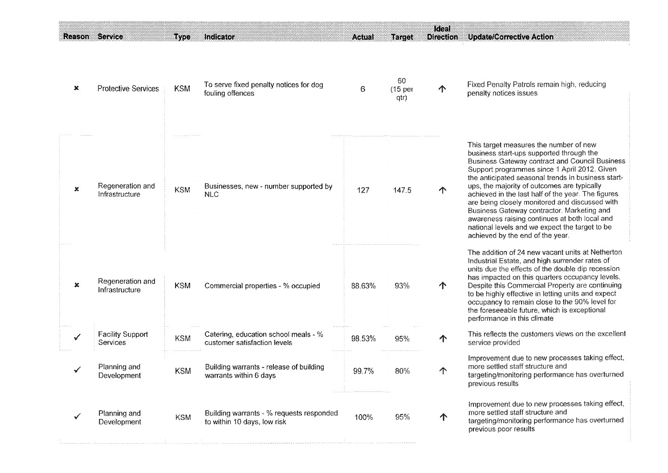| <b>Reason Service</b>     |                                            | Type       | Indicator                                                               | <b>Actual</b> | <b>Target</b>                      | Ideal<br><b>Direction</b> | <b>Update/Corrective Action</b>                                                                                                                                                                                                                                                                                                                                                                                                                                                                                                                                                               |
|---------------------------|--------------------------------------------|------------|-------------------------------------------------------------------------|---------------|------------------------------------|---------------------------|-----------------------------------------------------------------------------------------------------------------------------------------------------------------------------------------------------------------------------------------------------------------------------------------------------------------------------------------------------------------------------------------------------------------------------------------------------------------------------------------------------------------------------------------------------------------------------------------------|
| ×                         | <b>Protective Services</b>                 | <b>KSM</b> | To serve fixed penalty notices for dog<br>fouling offences              | 6             | 60<br>(15 <sub>per</sub> )<br>qtr) | ↑                         | Fixed Penalty Patrols remain high, reducing<br>penalty notices issues                                                                                                                                                                                                                                                                                                                                                                                                                                                                                                                         |
| $\boldsymbol{\mathsf{x}}$ | Regeneration and<br>Infrastructure         | <b>KSM</b> | Businesses, new - number supported by<br><b>NLC</b>                     | 127           | 147.5                              | ↑                         | This target measures the number of new<br>business start-ups supported through the<br><b>Business Gateway contract and Council Business</b><br>Support programmes since 1 April 2012. Given<br>the anticipated seasonal trends in business start-<br>ups, the majority of outcomes are typically<br>achieved in the last half of the year. The figures<br>are being closely monitored and discussed with<br>Business Gateway contractor. Marketing and<br>awareness raising continues at both local and<br>national levels and we expect the target to be<br>achieved by the end of the year. |
| $\pmb{\times}$            | Regeneration and<br>Infrastructure         | <b>KSM</b> | Commercial properties - % occupied                                      | 88.63%        | 93%                                | ↑                         | The addition of 24 new vacant units at Netherton<br>Industrial Estate, and high surrender rates of<br>units due the effects of the double dip recession<br>has impacted on this quarters occupancy levels.<br>Despite this Commercial Property are continuing<br>to be highly effective in letting units and expect<br>occupancy to remain close to the 90% level for<br>the foreseeable future, which is exceptional<br>performance in this climate                                                                                                                                          |
| ✓                         | <b>Facility Support</b><br><b>Services</b> | <b>KSM</b> | Catering, education school meals - %<br>customer satisfaction levels    | 98.53%        | 95%                                | ↑                         | This reflects the customers views on the excellent<br>service provided                                                                                                                                                                                                                                                                                                                                                                                                                                                                                                                        |
|                           | Planning and<br>Development                | <b>KSM</b> | Building warrants - release of building<br>warrants within 6 days       | 99.7%         | 80%                                | $\uparrow$                | Improvement due to new processes taking effect,<br>more settled staff structure and<br>targeting/monitoring performance has overturned<br>previous results                                                                                                                                                                                                                                                                                                                                                                                                                                    |
| √                         | Planning and<br>Development                | <b>KSM</b> | Building warrants - % requests responded<br>to within 10 days, low risk | 100%          | 95%                                | ↑                         | Improvement due to new processes taking effect,<br>more settled staff structure and<br>targeting/monitoring performance has overturned<br>previous poor results                                                                                                                                                                                                                                                                                                                                                                                                                               |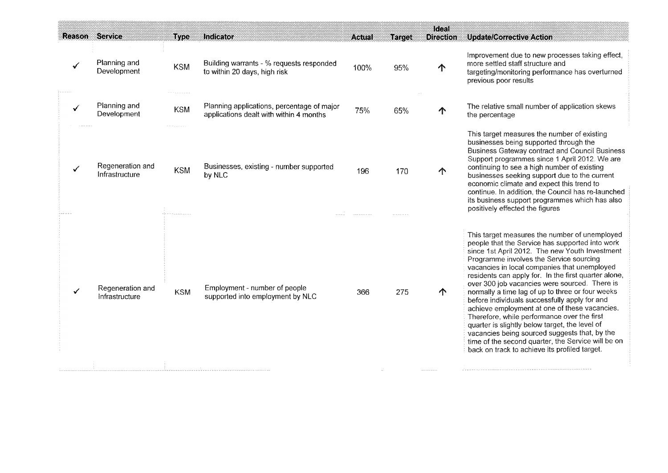|                       |                                    |                                   |                                                                                       |               |               | Ideal            |                                                                                                                                                                                                                                                                                                                                                                                                                                                                                                                                                                                                                                                                                                                                                                       |
|-----------------------|------------------------------------|-----------------------------------|---------------------------------------------------------------------------------------|---------------|---------------|------------------|-----------------------------------------------------------------------------------------------------------------------------------------------------------------------------------------------------------------------------------------------------------------------------------------------------------------------------------------------------------------------------------------------------------------------------------------------------------------------------------------------------------------------------------------------------------------------------------------------------------------------------------------------------------------------------------------------------------------------------------------------------------------------|
| <b>Reason Service</b> |                                    | Type                              | Indicator                                                                             | <b>Actual</b> | <b>Target</b> | <b>Direction</b> | <b>Update/Corrective Action</b>                                                                                                                                                                                                                                                                                                                                                                                                                                                                                                                                                                                                                                                                                                                                       |
|                       | Planning and<br>Development        | <b>KSM</b>                        | Building warrants - % requests responded<br>to within 20 days, high risk              | 100%          | 95%           | $\uparrow$       | Improvement due to new processes taking effect,<br>more settled staff structure and<br>targeting/monitoring performance has overturned<br>previous poor results                                                                                                                                                                                                                                                                                                                                                                                                                                                                                                                                                                                                       |
|                       | Planning and<br>Development        | <b>KSM</b>                        | Planning applications, percentage of major<br>applications dealt with within 4 months | 75%           | 65%           | ↑                | The relative small number of application skews<br>the percentage                                                                                                                                                                                                                                                                                                                                                                                                                                                                                                                                                                                                                                                                                                      |
|                       | Regeneration and<br>Infrastructure | <b>KSM</b><br>én nombreuse a anno | Businesses, existing - number supported<br>by NLC                                     | 196           | 170           | $\uparrow$       | This target measures the number of existing<br>businesses being supported through the<br><b>Business Gateway contract and Council Business</b><br>Support programmes since 1 April 2012. We are<br>continuing to see a high number of existing<br>businesses seeking support due to the current<br>economic climate and expect this trend to<br>continue. In addition, the Council has re-launched<br>its business support programmes which has also<br>positively effected the figures                                                                                                                                                                                                                                                                               |
| ✓                     | Regeneration and<br>Infrastructure | <b>KSM</b>                        | Employment - number of people<br>supported into employment by NLC                     | 366           | 275           | $\uparrow$       | This target measures the number of unemployed<br>people that the Service has supported into work<br>since 1st April 2012. The new Youth Investment<br>Programme involves the Service sourcing<br>vacancies in local companies that unemployed<br>residents can apply for. In the first quarter alone,<br>over 300 job vacancies were sourced. There is<br>normally a time lag of up to three or four weeks<br>before individuals successfully apply for and<br>achieve employment at one of these vacancies.<br>Therefore, while performance over the first<br>quarter is slightly below target, the level of<br>vacancies being sourced suggests that, by the<br>time of the second quarter, the Service will be on<br>back on track to achieve its profiled target. |